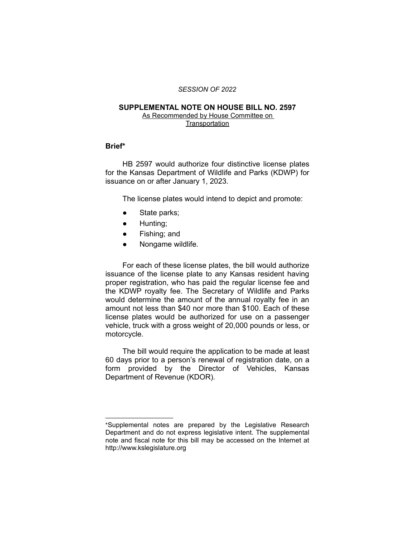#### *SESSION OF 2022*

## **SUPPLEMENTAL NOTE ON HOUSE BILL NO. 2597**

As Recommended by House Committee on **Transportation** 

# **Brief\***

HB 2597 would authorize four distinctive license plates for the Kansas Department of Wildlife and Parks (KDWP) for issuance on or after January 1, 2023.

The license plates would intend to depict and promote:

- State parks;
- Hunting;

 $\overline{\phantom{a}}$  , where  $\overline{\phantom{a}}$  , where  $\overline{\phantom{a}}$ 

- Fishing; and
- Nongame wildlife.

For each of these license plates, the bill would authorize issuance of the license plate to any Kansas resident having proper registration, who has paid the regular license fee and the KDWP royalty fee. The Secretary of Wildlife and Parks would determine the amount of the annual royalty fee in an amount not less than \$40 nor more than \$100. Each of these license plates would be authorized for use on a passenger vehicle, truck with a gross weight of 20,000 pounds or less, or motorcycle.

The bill would require the application to be made at least 60 days prior to a person's renewal of registration date, on a form provided by the Director of Vehicles, Kansas Department of Revenue (KDOR).

<sup>\*</sup>Supplemental notes are prepared by the Legislative Research Department and do not express legislative intent. The supplemental note and fiscal note for this bill may be accessed on the Internet at http://www.kslegislature.org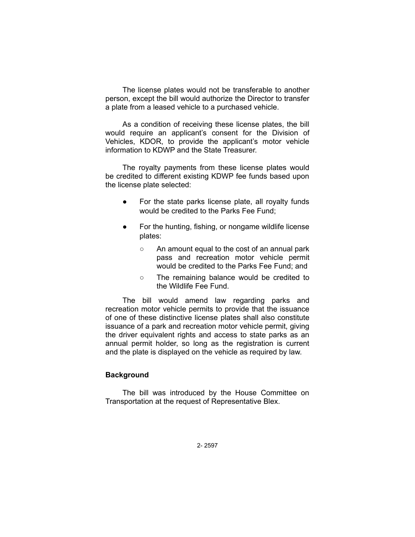The license plates would not be transferable to another person, except the bill would authorize the Director to transfer a plate from a leased vehicle to a purchased vehicle.

As a condition of receiving these license plates, the bill would require an applicant's consent for the Division of Vehicles, KDOR, to provide the applicant's motor vehicle information to KDWP and the State Treasurer.

The royalty payments from these license plates would be credited to different existing KDWP fee funds based upon the license plate selected:

- For the state parks license plate, all royalty funds would be credited to the Parks Fee Fund;
- For the hunting, fishing, or nongame wildlife license plates:
	- An amount equal to the cost of an annual park pass and recreation motor vehicle permit would be credited to the Parks Fee Fund; and
	- The remaining balance would be credited to the Wildlife Fee Fund.

The bill would amend law regarding parks and recreation motor vehicle permits to provide that the issuance of one of these distinctive license plates shall also constitute issuance of a park and recreation motor vehicle permit, giving the driver equivalent rights and access to state parks as an annual permit holder, so long as the registration is current and the plate is displayed on the vehicle as required by law.

## **Background**

The bill was introduced by the House Committee on Transportation at the request of Representative Blex.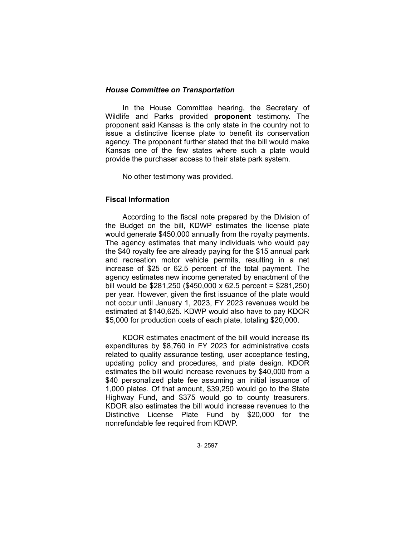## *House Committee on Transportation*

In the House Committee hearing, the Secretary of Wildlife and Parks provided **proponent** testimony. The proponent said Kansas is the only state in the country not to issue a distinctive license plate to benefit its conservation agency. The proponent further stated that the bill would make Kansas one of the few states where such a plate would provide the purchaser access to their state park system.

No other testimony was provided.

# **Fiscal Information**

According to the fiscal note prepared by the Division of the Budget on the bill, KDWP estimates the license plate would generate \$450,000 annually from the royalty payments. The agency estimates that many individuals who would pay the \$40 royalty fee are already paying for the \$15 annual park and recreation motor vehicle permits, resulting in a net increase of \$25 or 62.5 percent of the total payment. The agency estimates new income generated by enactment of the bill would be \$281,250 (\$450,000 x 62.5 percent = \$281,250) per year. However, given the first issuance of the plate would not occur until January 1, 2023, FY 2023 revenues would be estimated at \$140,625. KDWP would also have to pay KDOR \$5,000 for production costs of each plate, totaling \$20,000.

KDOR estimates enactment of the bill would increase its expenditures by \$8,760 in FY 2023 for administrative costs related to quality assurance testing, user acceptance testing, updating policy and procedures, and plate design. KDOR estimates the bill would increase revenues by \$40,000 from a \$40 personalized plate fee assuming an initial issuance of 1,000 plates. Of that amount, \$39,250 would go to the State Highway Fund, and \$375 would go to county treasurers. KDOR also estimates the bill would increase revenues to the Distinctive License Plate Fund by \$20,000 for the nonrefundable fee required from KDWP.